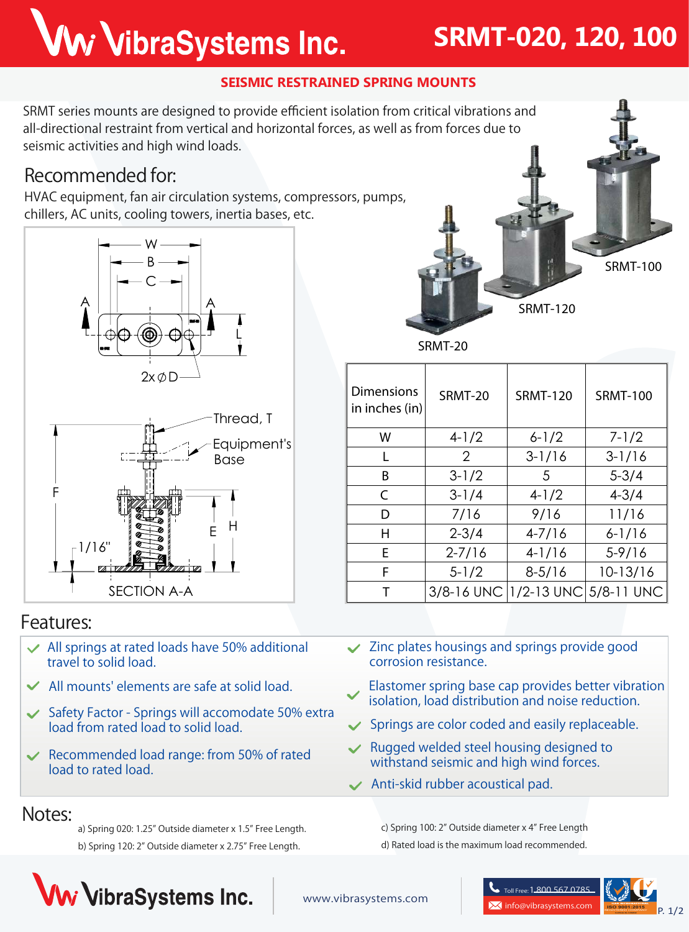# Ww VibraSystems Inc.

### **SRMT-020, 120, 100**

**SRMT-120**

**SRMT-100**

#### **SEISMIC RESTRAINED SPRING MOUNTS**

SRMT series mounts are designed to provide efficient isolation from critical vibrations and all-directional restraint from vertical and horizontal forces, as well as from forces due to seismic activities and high wind loads.

#### **Recommended for:**

HVAC equipment, fan air circulation systems, compressors, pumps, chillers, AC units, cooling towers, inertia bases, etc.



**SRMT-20**

| <b>Dimensions</b><br>in inches (in) | SRMT-20                          | <b>SRMT-120</b> | <b>SRMT-100</b> |
|-------------------------------------|----------------------------------|-----------------|-----------------|
| W                                   | $4-1/2$                          | $6 - 1/2$       | $7 - 1/2$       |
|                                     | $\mathcal{P}$                    | $3 - 1/16$      | $3 - 1/16$      |
| B                                   | $3 - 1/2$                        | 5               | $5 - 3/4$       |
| C                                   | $3 - 1/4$                        | $4-1/2$         | $4 - 3/4$       |
| D                                   | 7/16                             | 9/16            | 11/16           |
| н                                   | $2 - 3/4$                        | $4 - 7/16$      | $6 - 1/16$      |
| Е                                   | $2 - 7/16$                       | $4-1/16$        | $5 - 9/16$      |
| F                                   | $5 - 1/2$                        | $8 - 5/16$      | 10-13/16        |
|                                     | 3/8-16 UNC 1/2-13 UNC 5/8-11 UNC |                 |                 |

#### **Features:**

- **All springs at rated loads have 50% additional travel to solid load.**
- **All mounts' elements are safe at solid load.**
- **Safety Factor Springs will accomodate 50% extra load from rated load to solid load.**
- **Recommended load range: from 50% of rated load to rated load.**
- **Zinc plates housings and springs provide good corrosion resistance.**
- **Elastomer spring base cap provides better vibration isolation, load distribution and noise reduction.**
- **Springs are color coded and easily replaceable.**
- **Rugged welded steel housing designed to withstand seismic and high wind forces.**
- **Anti-skid rubber acoustical pad.**

#### c) Spring 100: 2" Outside diameter x 4" Free Length d) Rated load is the maximum load recommended.

#### **Notes:**

a) Spring 020: 1.25" Outside diameter x 1.5" Free Length. b) Spring 120: 2" Outside diameter x 2.75" Free Length.